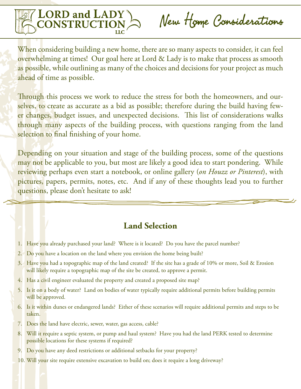

New Home Considerations

When considering building a new home, there are so many aspects to consider, it can feel overwhelming at times! Our goal here at Lord & Lady is to make that process as smooth as possible, while outlining as many of the choices and decisions for your project as much ahead of time as possible.

Through this process we work to reduce the stress for both the homeowners, and ourselves, to create as accurate as a bid as possible; therefore during the build having fewer changes, budget issues, and unexpected decisions. This list of considerations walks through many aspects of the building process, with questions ranging from the land selection to final finishing of your home.

Depending on your situation and stage of the building process, some of the questions may not be applicable to you, but most are likely a good idea to start pondering. While reviewing perhaps even start a notebook, or online gallery (*on Houzz or Pinterest*), with pictures, papers, permits, notes, etc. And if any of these thoughts lead you to further questions, please don't hesitate to ask!

# **Land Selection**

- 1. Have you already purchased your land? Where is it located? Do you have the parcel number?
- 2. Do you have a location on the land where you envision the home being built?
- 3. Have you had a topographic map of the land created? If the site has a grade of 10% or more, Soil & Erosion will likely require a topographic map of the site be created, to approve a permit.
- 4. Has a civil engineer evaluated the property and created a proposed site map?
- 5. Is it on a body of water? Land on bodies of water typically require additional permits before building permits will be approved.
- 6. Is it within dunes or endangered lands? Either of these scenarios will require additional permits and steps to be taken.
- 7. Does the land have electric, sewer, water, gas access, cable?
- 8. Will it require a septic system, or pump and haul system? Have you had the land PERK tested to determine possible locations for these systems if required?
- 9. Do you have any deed restrictions or additional setbacks for your property?
- 10. Will your site require extensive excavation to build on; does it require a long driveway?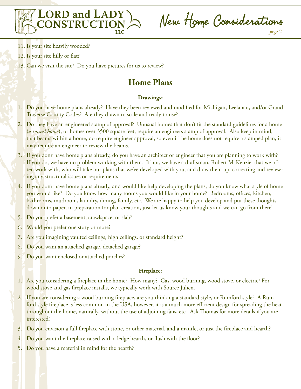

New Home Considerations

- 11. Is your site heavily wooded?
- 12. Is your site hilly or flat?
- 13. Can we visit the site? Do you have pictures for us to review?

# **Home Plans**

# **Drawings:**

- 1. Do you have home plans already? Have they been reviewed and modified for Michigan, Leelanau, and/or Grand Traverse County Codes? Are they drawn to scale and ready to use?
- 2. Do they have an engineered stamp of approval? Unusual homes that don't fit the standard guidelines for a home (*a round home*), or homes over 3500 square feet, require an engineers stamp of approval. Also keep in mind, that beams within a home, do require engineer approval, so even if the home does not require a stamped plan, it may require an engineer to review the beams.
- 3. If you don't have home plans already, do you have an architect or engineer that you are planning to work with? If you do, we have no problem working with them. If not, we have a draftsman, Robert McKenzie, that we often work with, who will take our plans that we've developed with you, and draw them up, correcting and reviewing any structural issues or requirements.
- 4. If you don't have home plans already, and would like help developing the plans, do you know what style of home you would like? Do you know how many rooms you would like in your home? Bedrooms, offices, kitchen, bathrooms, mudroom, laundry, dining, family, etc. We are happy to help you develop and put these thoughts down onto paper, in preparation for plan creation, just let us know your thoughts and we can go from there!
- 5. Do you prefer a basement, crawlspace, or slab?
- 6. Would you prefer one story or more?
- 7. Are you imagining vaulted ceilings, high ceilings, or standard height?
- 8. Do you want an attached garage, detached garage?
- 9. Do you want enclosed or attached porches?

# **Fireplace:**

- 1. Are you considering a fireplace in the home? How many? Gas, wood burning, wood stove, or electric? For wood stove and gas fireplace installs, we typically work with Source Julien.
- 2. If you are considering a wood burning fireplace, are you thinking a standard style, or Rumford style? A Rumford style fireplace is less common in the USA, however, it is a much more efficient design for spreading the heat throughout the home, naturally, without the use of adjoining fans, etc. Ask Thomas for more details if you are interested!
- 3. Do you envision a full fireplace with stone, or other material, and a mantle, or just the fireplace and hearth?
- 4. Do you want the fireplace raised with a ledge hearth, or flush with the floor?
- 5. Do you have a material in mind for the hearth?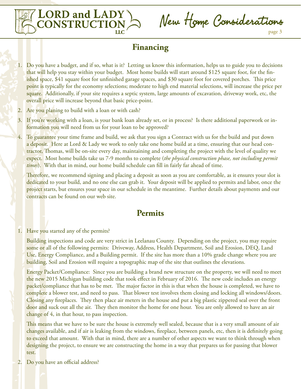

New Home Considerations

page 3

# **Financing**

- 1. Do you have a budget, and if so, what is it? Letting us know this information, helps us to guide you to decisions that will help you stay within your budget. Most home builds will start around \$125 square foot, for the finished space, \$41 square foot for unfinished garage spaces, and \$30 square foot for covered porches. This price point is typically for the economy selections; moderate to high end material selections, will increase the price per square. Additionally, if your site requires a septic system, large amounts of excavation, driveway work, etc, the overall price will increase beyond that basic price-point.
- 2. Are you planing to build with a loan or with cash?
- 3. If you're working with a loan, is your bank loan already set, or in process? Is there additional paperwork or information you will need from us for your loan to be approved?
- 4. To guarantee your time frame and build, we ask that you sign a Contract with us for the build and put down a deposit. Here at Lord & Lady we work to only take one home build at a time, ensuring that our head contractor, Thomas, will be on-site every day, maintaining and completing the project with the level of quality we expect. Most home builds take us 7-9 months to complete (*the physical construction phase, not including permit times*). With that in mind, our home build schedule can fill in fairly far ahead of time.

Therefore, we recommend signing and placing a deposit as soon as you are comfortable, as it ensures your slot is dedicated to your build, and no one else can grab it. Your deposit will be applied to permits and labor, once the project starts, but ensures your space in our schedule in the meantime. Further details about payments and our contracts can be found on our web site.

# **Permits**

1. Have you started any of the permits?

Building inspections and code are very strict in Leelanau County. Depending on the project, you may require some or all of the following permits: Driveway, Address, Health Department, Soil and Erosion, DEQ, Land Use, Energy Compliance, and a Building permit. If the site has more than a 10% grade change where you are building, Soil and Erosion will require a topographic map of the site that outlines the elevations.

Energy Packet/Compliance: Since you are building a brand new structure on the property, we will need to meet the new 2015 Michigan building code that took effect in February of 2016. The new code includes an energy packet/compliance that has to be met. The major factor in this is that when the house is completed, we have to complete a blower test, and need to pass. That blower test involves them closing and locking all windows/doors. Closing any fireplaces. They then place air meters in the house and put a big plastic zippered seal over the front door and suck out all the air. They then monitor the home for one hour. You are only allowed to have an air change of 4, in that hour, to pass inspection.

This means that we have to be sure the house is extremely well sealed, because that is a very small amount of air changes available, and if air is leaking from the windows, fireplace, between panels, etc, then it is definitely going to exceed that amount. With that in mind, there are a number of other aspects we want to think through when designing the project, to ensure we are constructing the home in a way that prepares us for passing that blower test.

2. Do you have an official address?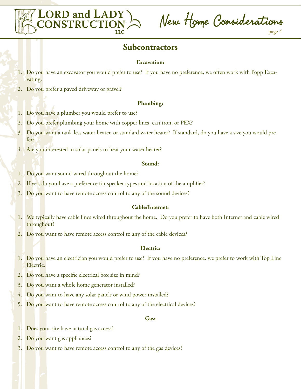

New Home Considerations

# **Subcontractors**

### **Excavation:**

- 1. Do you have an excavator you would prefer to use? If you have no preference, we often work with Popp Excavating.
- 2. Do you prefer a paved driveway or gravel?

### **Plumbing:**

- 1. Do you have a plumber you would prefer to use?
- 2. Do you prefer plumbing your home with copper lines, cast iron, or PEX?
- 3. Do you want a tank-less water heater, or standard water heater? If standard, do you have a size you would prefer?
- 4. Are you interested in solar panels to heat your water heater?

### **Sound:**

- 1. Do you want sound wired throughout the home?
- 2. If yes, do you have a preference for speaker types and location of the amplifier?
- 3. Do you want to have remote access control to any of the sound devices?

### **Cable/Internet:**

- 1. We typically have cable lines wired throughout the home. Do you prefer to have both Internet and cable wired throughout?
- 2. Do you want to have remote access control to any of the cable devices?

### **Electric:**

- 1. Do you have an electrician you would prefer to use? If you have no preference, we prefer to work with Top Line Electric.
- 2. Do you have a specific electrical box size in mind?
- 3. Do you want a whole home generator installed?
- 4. Do you want to have any solar panels or wind power installed?
- 5. Do you want to have remote access control to any of the electrical devices?

### **Gas:**

- 1. Does your site have natural gas access?
- 2. Do you want gas appliances?
- 3. Do you want to have remote access control to any of the gas devices?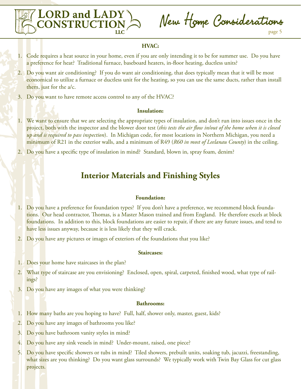

New Home Considerations page 5

## **HVAC:**

- 1. Code requires a heat source in your home, even if you are only intending it to be for summer use. Do you have a preference for heat? Traditional furnace, baseboard heaters, in-floor heating, ductless units?
- 2. Do you want air conditioning? If you do want air conditioning, that does typically mean that it will be most economical to utilize a furnace or ductless unit for the heating, so you can use the same ducts, rather than install them, just for the a/c.
- 3. Do you want to have remote access control to any of the HVAC?

### **Insulation:**

- 1. We want to ensure that we are selecting the appropriate types of insulation, and don't run into issues once in the project, both with the inspector and the blower door test (*this tests the air flow in/out of the home when it is closed up and is required to pass inspection*). In Michigan code, for most locations in Northern Michigan, you need a minimum of R21 in the exterior walls, and a minimum of R49 (*R60 in most of Leelanau County*) in the ceiling.
- 2. Do you have a specific type of insulation in mind? Standard, blown in, spray foam, denim?

# **Interior Materials and Finishing Styles**

### **Foundation:**

- 1. Do you have a preference for foundation types? If you don't have a preference, we recommend block foundations. Our head contractor, Thomas, is a Master Mason trained and from England. He therefore excels at block foundations. In addition to this, block foundations are easier to repair, if there are any future issues, and tend to have less issues anyway, because it is less likely that they will crack.
- 2. Do you have any pictures or images of exteriors of the foundations that you like?

#### **Staircases:**

- 1. Does your home have staircases in the plan?
- 2. What type of staircase are you envisioning? Enclosed, open, spiral, carpeted, finished wood, what type of railings?
- 3. Do you have any images of what you were thinking?

#### **Bathrooms:**

- 1. How many baths are you hoping to have? Full, half, shower only, master, guest, kids?
- 2. Do you have any images of bathrooms you like?
- 3. Do you have bathroom vanity styles in mind?
- 4. Do you have any sink vessels in mind? Under-mount, raised, one piece?
- 5. Do you have specific showers or tubs in mind? Tiled showers, prebuilt units, soaking tub, jacuzzi, freestanding, what sizes are you thinking? Do you want glass surrounds? We typically work with Twin Bay Glass for cut glass projects.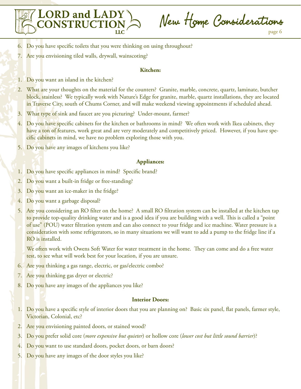

New Home Considerations

page 6

- 6. Do you have specific toilets that you were thinking on using throughout?
- 7. Are you envisioning tiled walls, drywall, wainscoting?

## **Kitchen:**

- 1. Do you want an island in the kitchen?
- 2. What are your thoughts on the material for the counters? Granite, marble, concrete, quartz, laminate, butcher block, stainless? We typically work with Nature's Edge for granite, marble, quartz installations, they are located in Traverse City, south of Chums Corner, and will make weekend viewing appointments if scheduled ahead.
- 3. What type of sink and faucet are you picturing? Under-mount, farmer?
- 4. Do you have specific cabinets for the kitchen or bathrooms in mind? We often work with Ikea cabinets, they have a ton of features, work great and are very moderately and competitively priced. However, if you have specific cabinets in mind, we have no problem exploring those with you.
- 5. Do you have any images of kitchens you like?

### **Appliances:**

- 1. Do you have specific appliances in mind? Specific brand?
- 2. Do you want a built-in fridge or free-standing?
- 3. Do you want an ice-maker in the fridge?
- 4. Do you want a garbage disposal?
- 5. Are you considering an RO filter on the home? A small RO filtration system can be installed at the kitchen tap to provide top-quality drinking water and is a good idea if you are building with a well. This is called a "point of use" (POU) water filtration system and can also connect to your fridge and ice machine. Water pressure is a consideration with some refrigerators, so in many situations we will want to add a pump to the fridge line if a RO is installed.

We often work with Owens Soft Water for water treatment in the home. They can come and do a free water test, to see what will work best for your location, if you are unsure.

- 6. Are you thinking a gas range, electric, or gas/electric combo?
- 7. Are you thinking gas dryer or electric?
- 8. Do you have any images of the appliances you like?

### **Interior Doors:**

- 1. Do you have a specific style of interior doors that you are planning on? Basic six panel, flat panels, farmer style, Victorian, Colonial, etc?
- 2. Are you envisioning painted doors, or stained wood?
- 3. Do you prefer solid core (*more expensive but quieter*) or hollow core (*lower cost but little sound barrier*)?
- 4. Do you want to use standard doors, pocket doors, or barn doors?
- 5. Do you have any images of the door styles you like?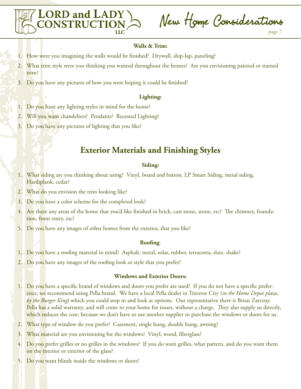

New Home Considerations

## **Walls & Trim:**

- 1. How were you imagining the walls would be finished? Drywall, ship-lap, paneling?
- 2. What trim style were you thinking you wanted throughout the homes? Are you envisioning painted or stained trim?
- 3. Do you have any pictures of how you were hoping it could be finished?

### **Lighting:**

- 1. Do you have any lighting styles in mind for the home?
- 2. Will you want chandeliers? Pendants? Recessed Lighting?
- 3. Do you have any pictures of lighting that you like?

# **Exterior Materials and Finishing Styles**

### **Siding:**

- 1. What siding are you thinking about using? Vinyl, board and batton, LP Smart Siding, metal siding, Hardiplank, cedar?
- 2. What do you envision the trim looking like?
- 3. Do you have a color scheme for the completed look?
- 4. Are there any areas of the home that you'd like finished in brick, cast stone, stone, etc? The chimney, foundation, front entry, etc?
- 5. Do you have any images of other homes from the exterior, that you like?

### **Roofing**:

- 1. Do you have a roofing material in mind? Asphalt, metal, solar, rubber, terracotta, slate, shake?
- 2. Do you have any images of the roofing look or style that you prefer?

### **Windows and Exterior Doors:**

- 1. Do you have a specific brand of windows and doors you prefer are used? If you do not have a specific preference, we recommend using Pella brand. We have a local Pella dealer in Traverse City (*in the Home Depot plaza, by the Burger King*) which you could stop in and look at options. Our representative there is Brian Zarczny. Pella has a solid warranty, and will come to your home for issues, without a charge. They also supply us directly, which reduces the cost, because we don't have to use another supplier to purchase the windows or doors for us.
- 2. What type of window do you prefer? Casement, single hung, double hung, awning?
- 3. What material are you envisioning for the windows? Vinyl, wood, fiberglass?
- 4. Do you prefer grilles or no grilles in the windows? If you do want grilles, what pattern, and do you want them on the interior or exterior of the glass?
- 5. Do you want blinds inside the windows or doors?